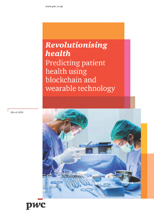### Revolutionising health Predicting patient health using blockchain and wearable technology



March 2018

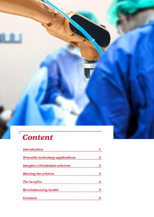# Content

| <b>Introduction</b>                                                                                                            |  |                               |  |
|--------------------------------------------------------------------------------------------------------------------------------|--|-------------------------------|--|
| <b>Wearable technology applications</b><br>Imagine a blockchain solution<br><b>Meeting the criteria</b><br><b>The benefits</b> |  |                               |  |
|                                                                                                                                |  | <b>Revolutionising health</b> |  |
|                                                                                                                                |  | Contacts                      |  |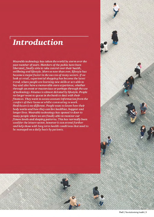#### **Introduction**

Wearable technology has taken the world by storm over the past number of years. Members of the public have been liberated, finally able to take control over their health, wellbeing and lifestyle. More so now than ever, lifestyle has become a major factor in the success of many sectors. If we look at retail, experiential shopping has become the latest trend, where people are learning new skills or are able to buy and also have a memorable store experience, whether through an event or masterclass or perhaps through the use of technology. Finance is almost dictated by lifestyle. People no longer want to queue in the bank to deal with their finances. They want to access account information from the comfort of their home or whilst commuting to work. Healthcare is no different. People want to know how their body works and how they can live healthier, happier and longer lives. Wearable technology has opened to door to many people where we are finally able to monitor our fitness levels and sleeping patterns. This has normally been used for the leisure sector, however it can extend further and help those with long term health conditions that need to be managed on a daily basis by patients.



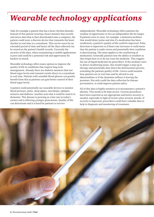## *Wearable technology applications*

Take for example a patient that has a heart rhythm disorder. Instead of this patient wearing a heart monitor that records and stores data that is then downloaded onto a computer, the patient could wear a discrete device that transmits the heart rhythm in real time to a consultant. This can be worn for an extended period of time and hence all the data collected can be stored on the patient's health records. Currently the security of the data, when transmitting to mobile applications is poor and could be a potential risk and opportunity for hackers to attack.

Wearable technology offers many options to improve the quality of life in conditions that require long term management. Already there are diabetic monitors that test blood sugar levels and transmit results direct to a consultant in real time. Patients with unstable blood glucose can greatly benefit from this as patients can gain better control of their blood sugar levels.

A patient could potentially use wearable devices to monitor blood pressure, pulse, sleep apnea, narcolepsy, epileptic seizures and diabetes. Another area that it could be used is in dementia. This disease is growing at a fast rate in today's society and is affecting younger generations. Quality of life can deteriorate and it is hard for patients to survive

independently. Wearable technology offers patients the window of opportunity to live an independent life for longer. If patients were to wear, for example, a dementia necklace that would detect pulse and also if a medication has been swallowed, a patient's quality of life could be improved. Pulse detection is important as if heart rate increases it could mean that the patient is under stress and potentially their condition is deteriorating. The same applies to the swallowing of medication. Generally patients lose the ability to swallow as they forget how to or do not trust the medicine. This triggers the use of liquid medicines by prescribers. If the necklace were to detect swallowing issues, this would trigger a step up in therapy and potentially slow down the deterioration process, extending the patients quality of life. Carers could monitor how patients are in real time and be alerted to any abnormalities or if the dementia sufferer is leaving the premises. Not only could the data collection be disease preventative, it could improve patient safety.

All of this data is highly sensitive as it incorporates a patient's identity. This needs to be kept secure. Current procedures have been reported as not appropriate and better security is needed, especially in light of recent cyber security attacks. If security is improved, prescribers could have valuable data to help in diagnosis and monitoring of treatment.

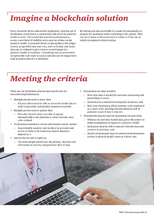## Imagine a blockchain solution

Every wearable device and mobile application, with the aid of blockchain, could link to a patient hub with all of the patient's health records. This would allow health professionals to access a new level of visibility and a new set of data on the patient's health. A wearable device could update to the ledger system, at specified time intervals, such as hourly, and hence data can be collated to give a better overall image of a patient's health or condition. Consultants and/or prescribers can prescribe with more accuracy and also can be triggered to look at patient data if it is abnormal.

By having this data accessible it is easier for paramedics to prepare for treatment whilst travelling to the patient. They can see if pulse or blood pressure is stable or if the rate at which the patient is deteriorating.

#### **Meeting the criteria**

There are six blockchain criteria that must be met for successful implementation.

- Multiple parties need to share data
	- All prescribers must be able to access the health data in order to prescribe and monitor patients accurately.
- Multiple parties need to update data
	- Wearable devices need to be able to update automatically to the platform to allow real time data to be collated.
- Verification is needed to ensure information can be trusted
	- Data is highly sensitive and needs to be accurate and secure in order to be trusted as clinical decisions depend on it.
- Intermediaries add complexity
	- The more people involved in the process, the more risk of breaches in security and potential theft of data.
- Interactions are time sensitive
	- Real time data is needed for accurate monitoring and prescribing to occur;
	- Quick access is needed in emergency situations; and
	- Real time monitoring allows patients to be monitored at a closer level, alerting relevant medical staff of potential issues if data is obscure.
- Transactions interact and are dependent on each other
	- Without the real time health data, prescribers have to make assumptions in regard to a patient's health;
	- Each party must be able to interact with the data and access it in real time: and
	- Health professionals must be alerted of abnormalities in data to identify health issues at a faster rate.

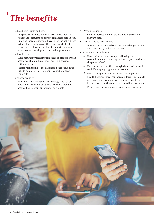# *The benefits*

- Reduced complexity and cost
	- The process becomes simpler. Less time is spent in review appointments as doctors can access data in real time and therefore may not have to see the patient face to face. This also has cost efficiencies for the health service, and allows medical professions to focus on other areas of health protection and improvement.
- Reduced errors
	- More accurate prescribing can occur as prescribers can access health data that allows them to prescribe with precision.
	- Precise monitoring of the patient can occur and gives light to potential life threatening conditions at an earlier stage.
- Enhanced security
	- Health data is highly sensitive. Through the use of blockchain, information can be securely stored and accessed by relevant authorised individuals.
- Proven resilience
	- Only authorised individuals are able to access the relevant data.
- Shared trusted transactions
	- Information is updated onto the secure ledger system and accessed by authorised parties.
- Creation of an audit trail
	- Data is time and date stamped allowing it to be traceable and used to form graphical representation of the patients health.
	- Factors can be identified through the use of the audit trail, identifying triggers for stress, etc.
- Enhanced transparency between authorised parties
	- Health becomes more transparent allowing patients to take more responsibility over their own health, in keeping with health policies developed by government.
	- Prescribers can see data and prescribe accordingly.

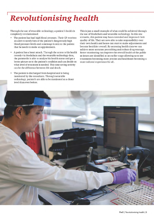# **Revolutionising health**

Through the use of wearable technology, a patient's health is completely revolutionised:

- $\bullet$ The patient has had high blood pressure. Their GP receives an alert to notify him of the patient's dangerously high blood pressure levels and a message is sent to the patient that he needs to make an appointment.
- A patient has a heart attack. Through the access to his health records via blockchain and the wearable technology data, the paramedic is able to analyse his health status and get a better picture as to the patient's condition and can decide on what level of treatment is needed. This time saving activity can be the difference between life and death.
- The patient is discharged from hospital and is being monitored by the consultant. Through wearable technology, patient's are able to be monitored at a closer level than ever before.

This is just a small example of what could be achieved through the use of blockchain and wearable technology. In this one scenario, this patient may have extended and improved their quality of life. They are now able to take responsibility over their own health and hence can start to make adjustments and become healthier overall. By accessing health data we can achieve more accurate prescribing and reduce drug wastage. Better monitoring can improve the overall health of the public as issues are identified at an earlier stage allowing us to see treatments becoming more precise and healthcare becoming a more tailored experience for all.